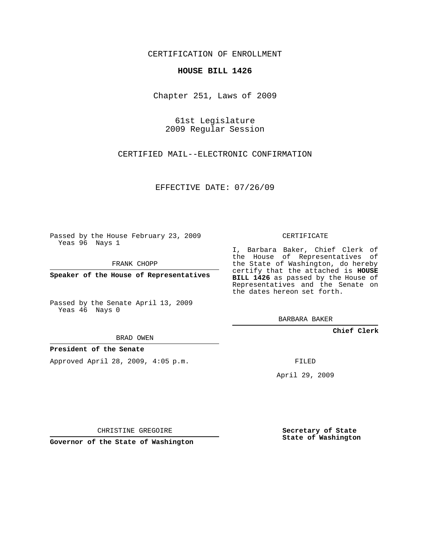CERTIFICATION OF ENROLLMENT

## **HOUSE BILL 1426**

Chapter 251, Laws of 2009

61st Legislature 2009 Regular Session

CERTIFIED MAIL--ELECTRONIC CONFIRMATION

EFFECTIVE DATE: 07/26/09

Passed by the House February 23, 2009 Yeas 96 Nays 1

FRANK CHOPP

**Speaker of the House of Representatives**

Passed by the Senate April 13, 2009 Yeas 46 Nays 0

BRAD OWEN

## **President of the Senate**

Approved April 28, 2009, 4:05 p.m.

CERTIFICATE

I, Barbara Baker, Chief Clerk of the House of Representatives of the State of Washington, do hereby certify that the attached is **HOUSE BILL 1426** as passed by the House of Representatives and the Senate on the dates hereon set forth.

BARBARA BAKER

**Chief Clerk**

FILED

April 29, 2009

CHRISTINE GREGOIRE

**Governor of the State of Washington**

**Secretary of State State of Washington**